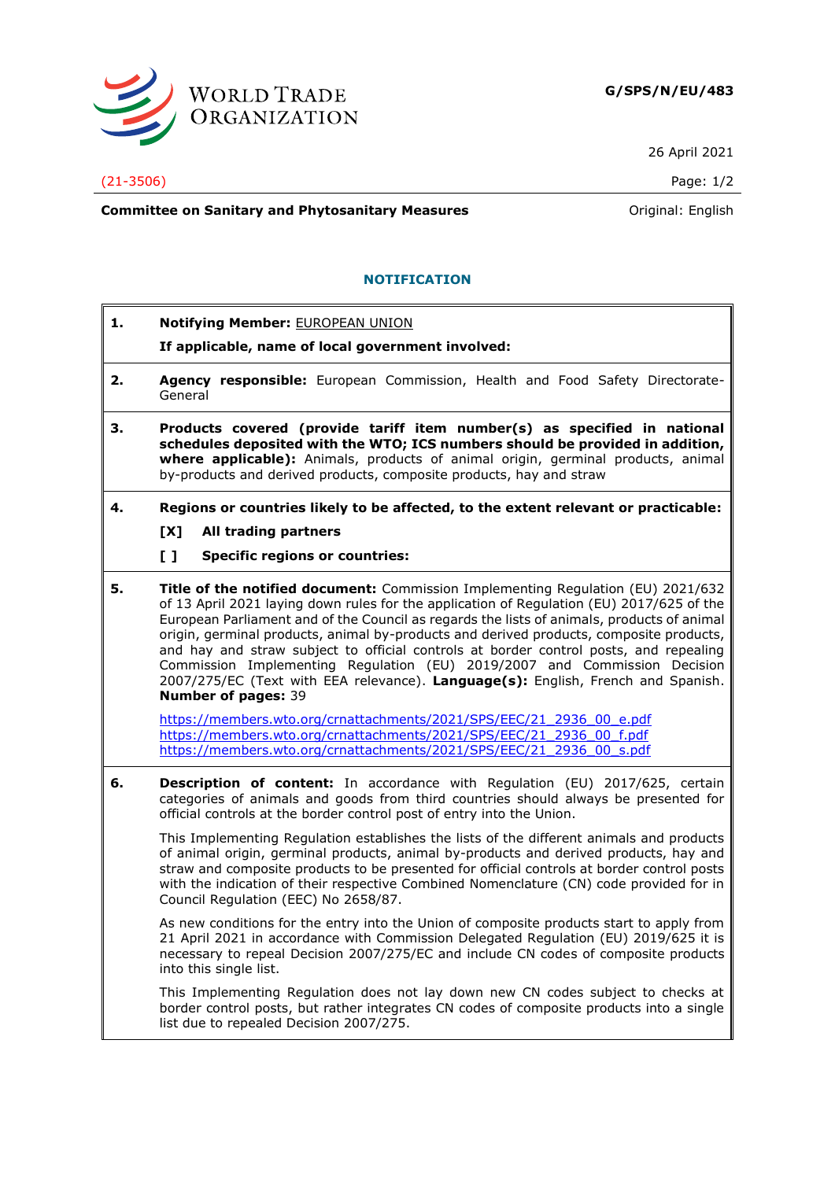

26 April 2021

(21-3506) Page: 1/2

**Committee on Sanitary and Phytosanitary Measures Committee on Sanitary and Phytosanitary Measures Committee And American** 

## **NOTIFICATION**

- **1. Notifying Member:** EUROPEAN UNION
	- **If applicable, name of local government involved:**
- **2. Agency responsible:** European Commission, Health and Food Safety Directorate-General
- **3. Products covered (provide tariff item number(s) as specified in national schedules deposited with the WTO; ICS numbers should be provided in addition, where applicable):** Animals, products of animal origin, germinal products, animal by-products and derived products, composite products, hay and straw
- **4. Regions or countries likely to be affected, to the extent relevant or practicable:**
	- **[X] All trading partners**
	- **[ ] Specific regions or countries:**
- **5. Title of the notified document:** Commission Implementing Regulation (EU) 2021/632 of 13 April 2021 laying down rules for the application of Regulation (EU) 2017/625 of the European Parliament and of the Council as regards the lists of animals, products of animal origin, germinal products, animal by-products and derived products, composite products, and hay and straw subject to official controls at border control posts, and repealing Commission Implementing Regulation (EU) 2019/2007 and Commission Decision 2007/275/EC (Text with EEA relevance). **Language(s):** English, French and Spanish. **Number of pages:** 39

[https://members.wto.org/crnattachments/2021/SPS/EEC/21\\_2936\\_00\\_e.pdf](https://members.wto.org/crnattachments/2021/SPS/EEC/21_2936_00_e.pdf) [https://members.wto.org/crnattachments/2021/SPS/EEC/21\\_2936\\_00\\_f.pdf](https://members.wto.org/crnattachments/2021/SPS/EEC/21_2936_00_f.pdf) [https://members.wto.org/crnattachments/2021/SPS/EEC/21\\_2936\\_00\\_s.pdf](https://members.wto.org/crnattachments/2021/SPS/EEC/21_2936_00_s.pdf)

**6. Description of content:** In accordance with Regulation (EU) 2017/625, certain categories of animals and goods from third countries should always be presented for official controls at the border control post of entry into the Union.

This Implementing Regulation establishes the lists of the different animals and products of animal origin, germinal products, animal by-products and derived products, hay and straw and composite products to be presented for official controls at border control posts with the indication of their respective Combined Nomenclature (CN) code provided for in Council Regulation (EEC) No 2658/87.

As new conditions for the entry into the Union of composite products start to apply from 21 April 2021 in accordance with Commission Delegated Regulation (EU) 2019/625 it is necessary to repeal Decision 2007/275/EC and include CN codes of composite products into this single list.

This Implementing Regulation does not lay down new CN codes subject to checks at border control posts, but rather integrates CN codes of composite products into a single list due to repealed Decision 2007/275.